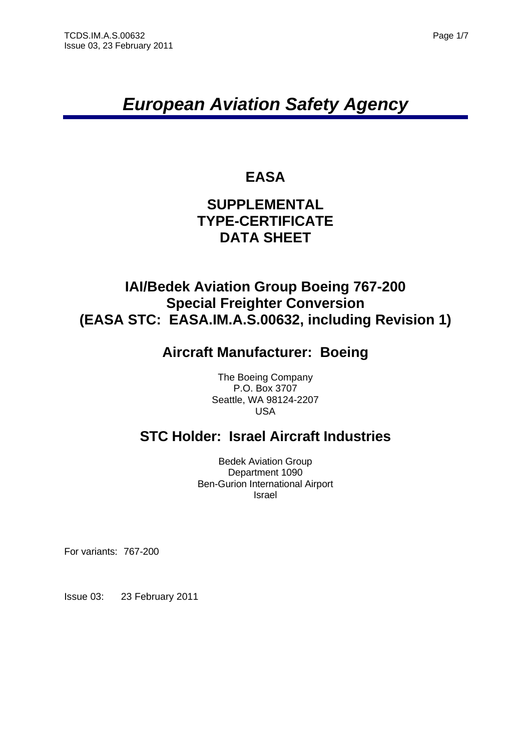# *European Aviation Safety Agency*

# **EASA**

### **SUPPLEMENTAL TYPE-CERTIFICATE DATA SHEET**

### **IAI/Bedek Aviation Group Boeing 767-200 Special Freighter Conversion (EASA STC: EASA.IM.A.S.00632, including Revision 1)**

# **Aircraft Manufacturer: Boeing**

The Boeing Company P.O. Box 3707 Seattle, WA 98124-2207 USA

# **STC Holder: Israel Aircraft Industries**

Bedek Aviation Group Department 1090 Ben-Gurion International Airport Israel

For variants: 767-200

Issue 03: 23 February 2011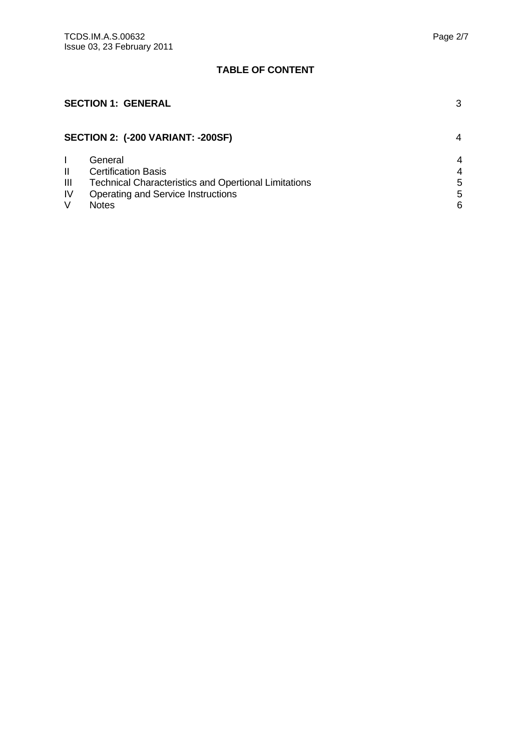### **TABLE OF CONTENT**

### **SECTION 1: GENERAL** 3 **SECTION 2: (-200 VARIANT: -200SF)** 4 I General 4 II Certification Basis<br>
III Technical Characteristics and Opertional Limitations<br>
5 III Technical Characteristics and Opertional Limitations<br>IV Operating and Service Instructions 5 IV Operating and Service Instructions<br>V Notes V Notes 6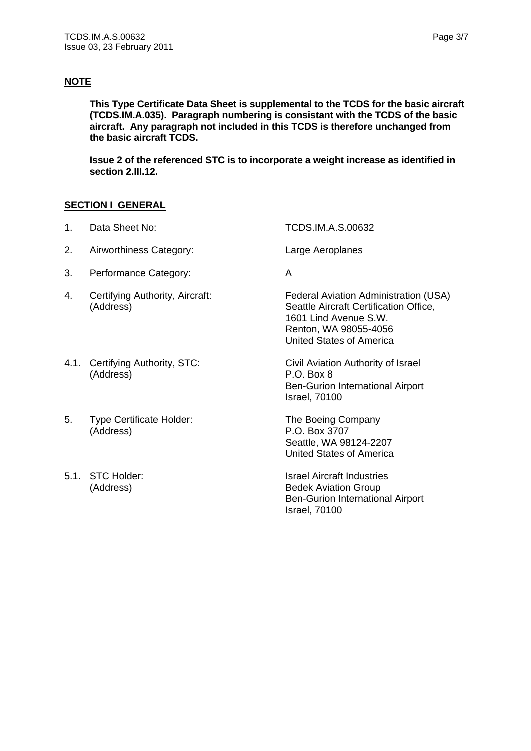### **NOTE**

**This Type Certificate Data Sheet is supplemental to the TCDS for the basic aircraft (TCDS.IM.A.035). Paragraph numbering is consistant with the TCDS of the basic aircraft. Any paragraph not included in this TCDS is therefore unchanged from the basic aircraft TCDS.** 

**Issue 2 of the referenced STC is to incorporate a weight increase as identified in section 2.III.12.** 

#### **SECTION I GENERAL**

- 1. Data Sheet No: TCDS.IM.A.S.00632 2. Airworthiness Category: Large Aeroplanes 3. Performance Category: A 4. Certifying Authority, Aircraft: Federal Aviation Administration (USA) (Address) Seattle Aircraft Certification Office, 1601 Lind Avenue S.W. Renton, WA 98055-4056 United States of America 4.1. Certifying Authority, STC: Civil Aviation Authority of Israel (Address) P.O. Box 8 Ben-Gurion International Airport Israel, 70100
	- Seattle, WA 98124-2207 United States of America

5.1. STC Holder: Internal Studies and Israel Aircraft Industries (Address) Bedek Aviation Group Ben-Gurion International Airport Israel, 70100

- 5. Type Certificate Holder: The Boeing Company (Address) P.O. Box 3707
-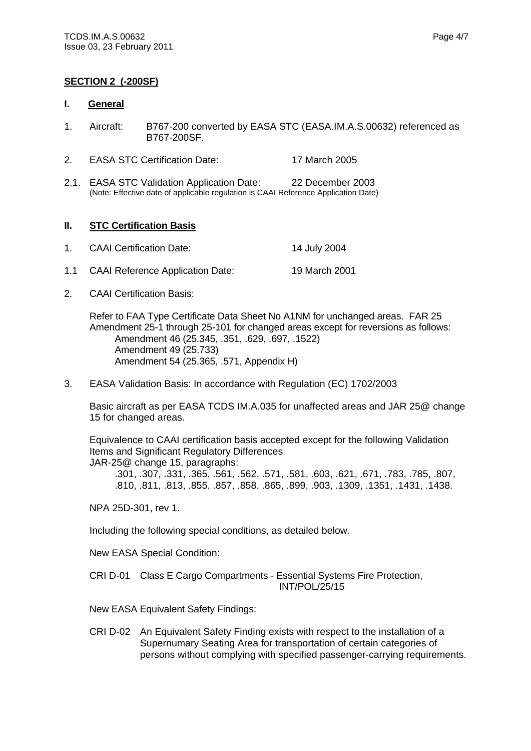#### **SECTION 2 (-200SF)**

#### **I. General**

- 1. Aircraft: B767-200 converted by EASA STC (EASA.IM.A.S.00632) referenced as B767-200SF.
- 2. EASA STC Certification Date: 17 March 2005
- 2.1. EASA STC Validation Application Date: 22 December 2003 (Note: Effective date of applicable regulation is CAAI Reference Application Date)

#### **II. STC Certification Basis**

| $1_{-}$ | <b>CAAI Certification Date:</b>      | 14 July 2004  |
|---------|--------------------------------------|---------------|
|         | 1.1 CAAI Reference Application Date: | 19 March 2001 |

2. CAAI Certification Basis:

Refer to FAA Type Certificate Data Sheet No A1NM for unchanged areas. FAR 25 Amendment 25-1 through 25-101 for changed areas except for reversions as follows: Amendment 46 (25.345, .351, .629, .697, .1522) Amendment 49 (25.733) Amendment 54 (25.365, .571, Appendix H)

3. EASA Validation Basis: In accordance with Regulation (EC) 1702/2003

Basic aircraft as per EASA TCDS IM.A.035 for unaffected areas and JAR 25@ change 15 for changed areas.

Equivalence to CAAI certification basis accepted except for the following Validation Items and Significant Regulatory Differences JAR-25@ change 15, paragraphs:

.301, .307, .331, .365, .561, .562, .571, .581, .603, .621, .671, .783, .785, .807, .810, .811, .813, .855, .857, .858, .865, .899, .903, .1309, .1351, .1431, .1438.

NPA 25D-301, rev 1.

Including the following special conditions, as detailed below.

New EASA Special Condition:

CRI D-01 Class E Cargo Compartments - Essential Systems Fire Protection, INT/POL/25/15

New EASA Equivalent Safety Findings:

CRI D-02 An Equivalent Safety Finding exists with respect to the installation of a Supernumary Seating Area for transportation of certain categories of persons without complying with specified passenger-carrying requirements.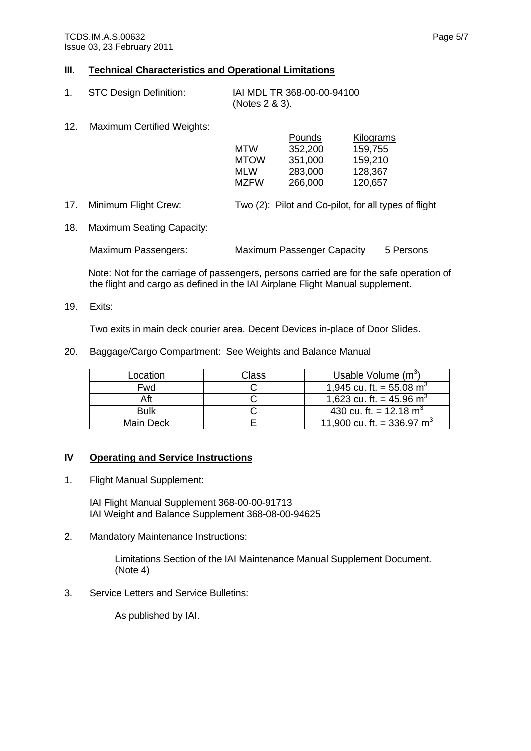#### **III. Technical Characteristics and Operational Limitations**

| <b>STC Design Definition:</b> | IAI MDL TR 368-00-00-94100 |
|-------------------------------|----------------------------|
|                               | (Notes 2 & 3).             |

12. Maximum Certified Weights:

| 12. | Maximum Certified Weights: |             |         |                  |
|-----|----------------------------|-------------|---------|------------------|
|     |                            |             | Pounds  | <b>Kilograms</b> |
|     |                            | <b>MTW</b>  | 352,200 | 159,755          |
|     |                            | <b>MTOW</b> | 351,000 | 159,210          |
|     |                            | <b>MLW</b>  | 283,000 | 128,367          |
|     |                            | <b>MZFW</b> | 266,000 | 120,657          |
|     |                            |             |         |                  |

17. Minimum Flight Crew: Two (2): Pilot and Co-pilot, for all types of flight

18. Maximum Seating Capacity:

Maximum Passengers: Maximum Passenger Capacity 5 Persons

Note: Not for the carriage of passengers, persons carried are for the safe operation of the flight and cargo as defined in the IAI Airplane Flight Manual supplement.

19. Exits:

Two exits in main deck courier area. Decent Devices in-place of Door Slides.

20. Baggage/Cargo Compartment: See Weights and Balance Manual

| Location    | Class | Usable Volume $(m^3)$                  |
|-------------|-------|----------------------------------------|
| Fwd         |       | 1,945 cu. ft. = 55.08 m <sup>3</sup>   |
| Aft         |       | 1,623 cu. ft. = 45.96 m <sup>3</sup>   |
| <b>Bulk</b> |       | 430 cu. ft. = 12.18 m <sup>3</sup>     |
| Main Deck   |       | 11,900 cu. ft. = 336.97 m <sup>3</sup> |

#### **IV Operating and Service Instructions**

1. Flight Manual Supplement:

 IAI Flight Manual Supplement 368-00-00-91713 IAI Weight and Balance Supplement 368-08-00-94625

2. Mandatory Maintenance Instructions:

Limitations Section of the IAI Maintenance Manual Supplement Document. (Note 4)

3. Service Letters and Service Bulletins:

As published by IAI.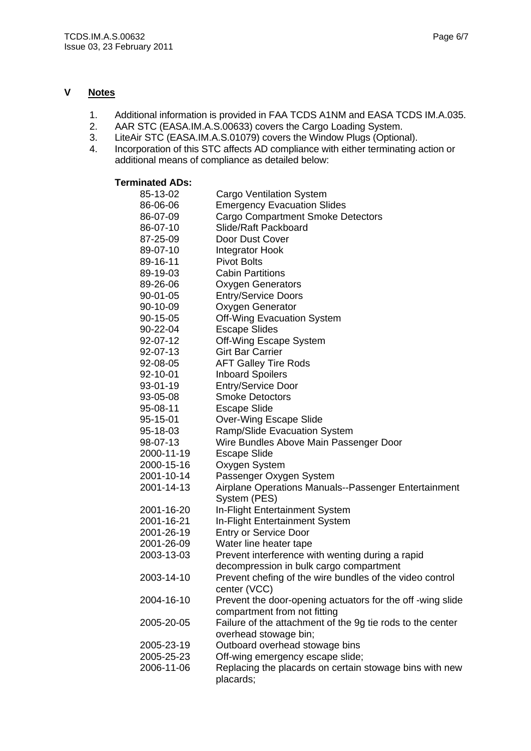#### **V Notes**

- 1. Additional information is provided in FAA TCDS A1NM and EASA TCDS IM.A.035.
- 2. AAR STC (EASA.IM.A.S.00633) covers the Cargo Loading System.
- 3. LiteAir STC (EASA.IM.A.S.01079) covers the Window Plugs (Optional).
- 4. Incorporation of this STC affects AD compliance with either terminating action or additional means of compliance as detailed below:

### **Terminated ADs:**

| 85-13-02   | <b>Cargo Ventilation System</b>                                                            |
|------------|--------------------------------------------------------------------------------------------|
| 86-06-06   | <b>Emergency Evacuation Slides</b>                                                         |
| 86-07-09   | <b>Cargo Compartment Smoke Detectors</b>                                                   |
| 86-07-10   | Slide/Raft Packboard                                                                       |
| 87-25-09   | Door Dust Cover                                                                            |
| 89-07-10   | <b>Integrator Hook</b>                                                                     |
| 89-16-11   | <b>Pivot Bolts</b>                                                                         |
| 89-19-03   | <b>Cabin Partitions</b>                                                                    |
| 89-26-06   | <b>Oxygen Generators</b>                                                                   |
| 90-01-05   | <b>Entry/Service Doors</b>                                                                 |
| 90-10-09   | Oxygen Generator                                                                           |
| 90-15-05   | <b>Off-Wing Evacuation System</b>                                                          |
| 90-22-04   | <b>Escape Slides</b>                                                                       |
| 92-07-12   | Off-Wing Escape System                                                                     |
| 92-07-13   | <b>Girt Bar Carrier</b>                                                                    |
| 92-08-05   | <b>AFT Galley Tire Rods</b>                                                                |
| 92-10-01   | <b>Inboard Spoilers</b>                                                                    |
| 93-01-19   | <b>Entry/Service Door</b>                                                                  |
| 93-05-08   | <b>Smoke Detoctors</b>                                                                     |
| 95-08-11   | <b>Escape Slide</b>                                                                        |
| 95-15-01   | <b>Over-Wing Escape Slide</b>                                                              |
| 95-18-03   | <b>Ramp/Slide Evacuation System</b>                                                        |
| 98-07-13   | Wire Bundles Above Main Passenger Door                                                     |
| 2000-11-19 | <b>Escape Slide</b>                                                                        |
| 2000-15-16 | Oxygen System                                                                              |
| 2001-10-14 | Passenger Oxygen System                                                                    |
| 2001-14-13 | Airplane Operations Manuals--Passenger Entertainment<br>System (PES)                       |
| 2001-16-20 | In-Flight Entertainment System                                                             |
| 2001-16-21 | In-Flight Entertainment System                                                             |
| 2001-26-19 | <b>Entry or Service Door</b>                                                               |
| 2001-26-09 | Water line heater tape                                                                     |
| 2003-13-03 | Prevent interference with wenting during a rapid                                           |
|            | decompression in bulk cargo compartment                                                    |
| 2003-14-10 | Prevent chefing of the wire bundles of the video control<br>center (VCC)                   |
| 2004-16-10 | Prevent the door-opening actuators for the off -wing slide<br>compartment from not fitting |
| 2005-20-05 | Failure of the attachment of the 9g tie rods to the center<br>overhead stowage bin;        |
| 2005-23-19 | Outboard overhead stowage bins                                                             |
| 2005-25-23 | Off-wing emergency escape slide;                                                           |
| 2006-11-06 | Replacing the placards on certain stowage bins with new<br>placards;                       |